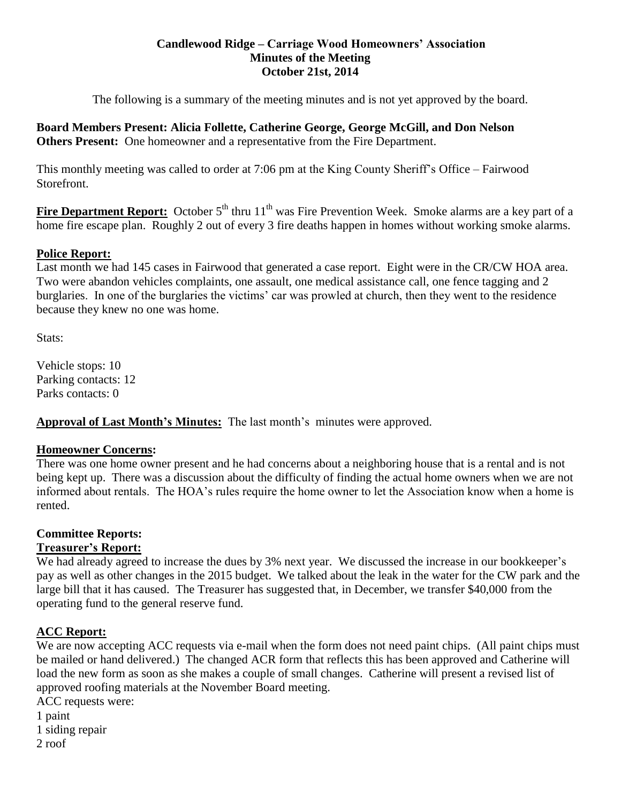### **Candlewood Ridge – Carriage Wood Homeowners' Association Minutes of the Meeting October 21st, 2014**

The following is a summary of the meeting minutes and is not yet approved by the board.

**Board Members Present: Alicia Follette, Catherine George, George McGill, and Don Nelson Others Present:** One homeowner and a representative from the Fire Department.

This monthly meeting was called to order at 7:06 pm at the King County Sheriff's Office – Fairwood Storefront.

**Fire Department Report:** October 5<sup>th</sup> thru 11<sup>th</sup> was Fire Prevention Week. Smoke alarms are a key part of a home fire escape plan. Roughly 2 out of every 3 fire deaths happen in homes without working smoke alarms.

### **Police Report:**

Last month we had 145 cases in Fairwood that generated a case report. Eight were in the CR/CW HOA area. Two were abandon vehicles complaints, one assault, one medical assistance call, one fence tagging and 2 burglaries. In one of the burglaries the victims' car was prowled at church, then they went to the residence because they knew no one was home.

Stats:

Vehicle stops: 10 Parking contacts: 12 Parks contacts: 0

**Approval of Last Month's Minutes:** The last month's minutes were approved.

# **Homeowner Concerns:**

There was one home owner present and he had concerns about a neighboring house that is a rental and is not being kept up. There was a discussion about the difficulty of finding the actual home owners when we are not informed about rentals. The HOA's rules require the home owner to let the Association know when a home is rented.

# **Committee Reports:**

# **Treasurer's Report:**

We had already agreed to increase the dues by 3% next year. We discussed the increase in our bookkeeper's pay as well as other changes in the 2015 budget. We talked about the leak in the water for the CW park and the large bill that it has caused. The Treasurer has suggested that, in December, we transfer \$40,000 from the operating fund to the general reserve fund.

# **ACC Report:**

We are now accepting ACC requests via e-mail when the form does not need paint chips. (All paint chips must be mailed or hand delivered.) The changed ACR form that reflects this has been approved and Catherine will load the new form as soon as she makes a couple of small changes. Catherine will present a revised list of approved roofing materials at the November Board meeting.

ACC requests were: 1 paint 1 siding repair 2 roof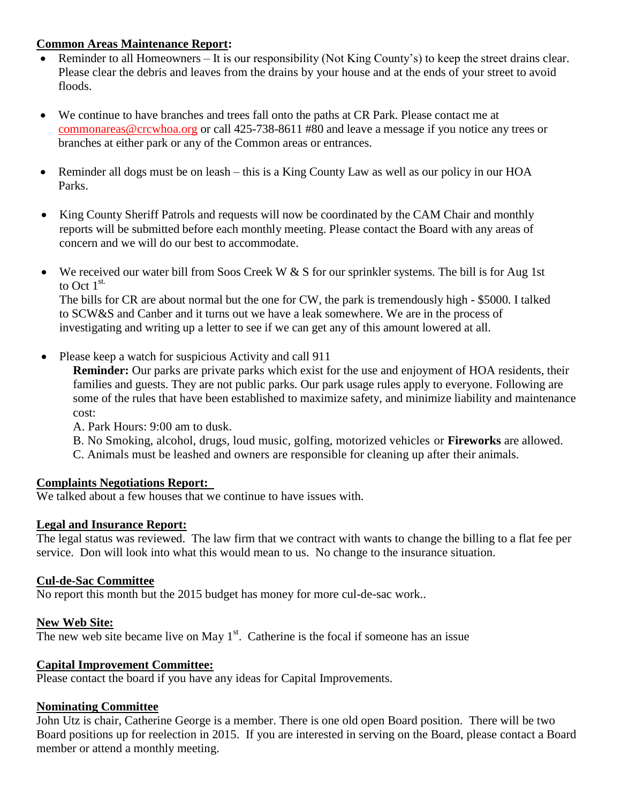# **Common Areas Maintenance Report:**

- Reminder to all Homeowners It is our responsibility (Not King County's) to keep the street drains clear. Please clear the debris and leaves from the drains by your house and at the ends of your street to avoid floods.
- We continue to have branches and trees fall onto the paths at CR Park. Please contact me at [commonareas@crcwhoa.org](mailto:commonareas@crcwhoa.org) or call 425-738-8611 #80 and leave a message if you notice any trees or branches at either park or any of the Common areas or entrances.
- Reminder all dogs must be on leash this is a King County Law as well as our policy in our HOA Parks.
- King County Sheriff Patrols and requests will now be coordinated by the CAM Chair and monthly reports will be submitted before each monthly meeting. Please contact the Board with any areas of concern and we will do our best to accommodate.
- $\bullet$  We received our water bill from Soos Creek W & S for our sprinkler systems. The bill is for Aug 1st to Oct  $1^{\text{st.}}$

The bills for CR are about normal but the one for CW, the park is tremendously high - \$5000. I talked to SCW&S and Canber and it turns out we have a leak somewhere. We are in the process of investigating and writing up a letter to see if we can get any of this amount lowered at all.

• Please keep a watch for suspicious Activity and call 911

**Reminder:** Our parks are private parks which exist for the use and enjoyment of HOA residents, their families and guests. They are not public parks. Our park usage rules apply to everyone. Following are some of the rules that have been established to maximize safety, and minimize liability and maintenance cost:

A. Park Hours: 9:00 am to dusk.

B. No Smoking, alcohol, drugs, loud music, golfing, motorized vehicles or **Fireworks** are allowed.

C. Animals must be leashed and owners are responsible for cleaning up after their animals.

# **Complaints Negotiations Report:**

We talked about a few houses that we continue to have issues with.

# **Legal and Insurance Report:**

The legal status was reviewed. The law firm that we contract with wants to change the billing to a flat fee per service. Don will look into what this would mean to us. No change to the insurance situation.

#### **Cul-de-Sac Committee**

No report this month but the 2015 budget has money for more cul-de-sac work..

# **New Web Site:**

The new web site became live on May  $1<sup>st</sup>$ . Catherine is the focal if someone has an issue

#### **Capital Improvement Committee:**

Please contact the board if you have any ideas for Capital Improvements.

#### **Nominating Committee**

John Utz is chair, Catherine George is a member. There is one old open Board position. There will be two Board positions up for reelection in 2015. If you are interested in serving on the Board, please contact a Board member or attend a monthly meeting.